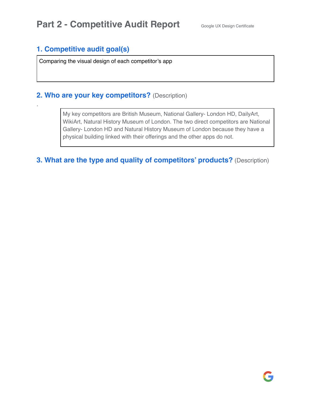### **1. Competitive audit goal(s)**

.

Comparing the visual design of each competitor's app

### **2. Who are your key competitors?** (Description)

My key competitors are British Museum, National Gallery- London HD, DailyArt, WikiArt, Natural History Museum of London. The two direct competitors are National Gallery- London HD and Natural History Museum of London because they have a physical building linked with their offerings and the other apps do not.

**3. What are the type and quality of competitors' products?** (Description)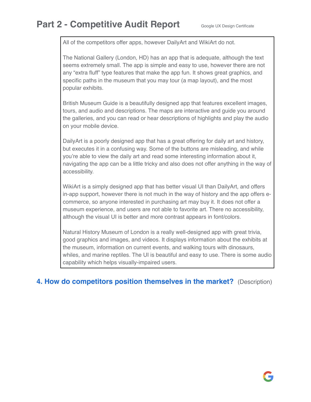All of the competitors offer apps, however DailyArt and WikiArt do not.

The National Gallery (London, HD) has an app that is adequate, although the text seems extremely small. The app is simple and easy to use, however there are not any "extra fluff" type features that make the app fun. It shows great graphics, and specific paths in the museum that you may tour (a map layout), and the most popular exhibits.

British Museum Guide is a beautifully designed app that features excellent images, tours, and audio and descriptions. The maps are interactive and guide you around the galleries, and you can read or hear descriptions of highlights and play the audio on your mobile device.

DailyArt is a poorly designed app that has a great offering for daily art and history, but executes it in a confusing way. Some of the buttons are misleading, and while you're able to view the daily art and read some interesting information about it, navigating the app can be a little tricky and also does not offer anything in the way of accessibility.

WikiArt is a simply designed app that has better visual UI than DailyArt, and offers in-app support, however there is not much in the way of history and the app offers ecommerce, so anyone interested in purchasing art may buy it. It does not offer a museum experience, and users are not able to favorite art. There no accessibility, although the visual UI is better and more contrast appears in font/colors.

Natural History Museum of London is a really well-designed app with great trivia, good graphics and images, and videos. It displays information about the exhibits at the museum, information on current events, and walking tours with dinosaurs, whiles, and marine reptiles. The UI is beautiful and easy to use. There is some audio capability which helps visually-impaired users.

**4. How do competitors position themselves in the market?** (Description)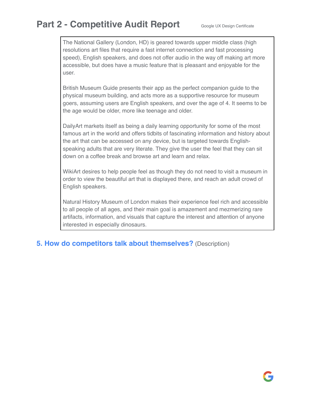The National Gallery (London, HD) is geared towards upper middle class (high resolutions art files that require a fast internet connection and fast processing speed), English speakers, and does not offer audio in the way off making art more accessible, but does have a music feature that is pleasant and enjoyable for the user.

British Museum Guide presents their app as the perfect companion guide to the physical museum building, and acts more as a supportive resource for museum goers, assuming users are English speakers, and over the age of 4. It seems to be the age would be older, more like teenage and older.

DailyArt markets itself as being a daily learning opportunity for some of the most famous art in the world and offers tidbits of fascinating information and history about the art that can be accessed on any device, but is targeted towards Englishspeaking adults that are very literate. They give the user the feel that they can sit down on a coffee break and browse art and learn and relax.

WikiArt desires to help people feel as though they do not need to visit a museum in order to view the beautiful art that is displayed there, and reach an adult crowd of English speakers.

Natural History Museum of London makes their experience feel rich and accessible to all people of all ages, and their main goal is amazement and mezmerizing rare artifacts, information, and visuals that capture the interest and attention of anyone interested in especially dinosaurs.

**5. How do competitors talk about themselves?** (Description)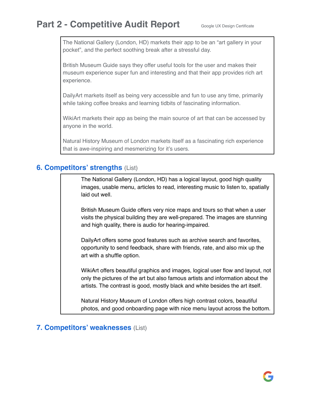The National Gallery (London, HD) markets their app to be an "art gallery in your pocket", and the perfect soothing break after a stressful day.

British Museum Guide says they offer useful tools for the user and makes their museum experience super fun and interesting and that their app provides rich art experience.

DailyArt markets itself as being very accessible and fun to use any time, primarily while taking coffee breaks and learning tidbits of fascinating information.

WikiArt markets their app as being the main source of art that can be accessed by anyone in the world.

Natural History Museum of London markets itself as a fascinating rich experience that is awe-inspiring and mesmerizing for it's users.

### **6. Competitors' strengths** (List)

The National Gallery (London, HD) has a logical layout, good high quality images, usable menu, articles to read, interesting music to listen to, spatially laid out well.

British Museum Guide offers very nice maps and tours so that when a user visits the physical building they are well-prepared. The images are stunning and high quality, there is audio for hearing-impaired.

DailyArt offers some good features such as archive search and favorites, opportunity to send feedback, share with friends, rate, and also mix up the art with a shuffle option.

WikiArt offers beautiful graphics and images, logical user flow and layout, not only the pictures of the art but also famous artists and information about the artists. The contrast is good, mostly black and white besides the art itself.

Natural History Museum of London offers high contrast colors, beautiful photos, and good onboarding page with nice menu layout across the bottom.

#### **7. Competitors' weaknesses** (List)